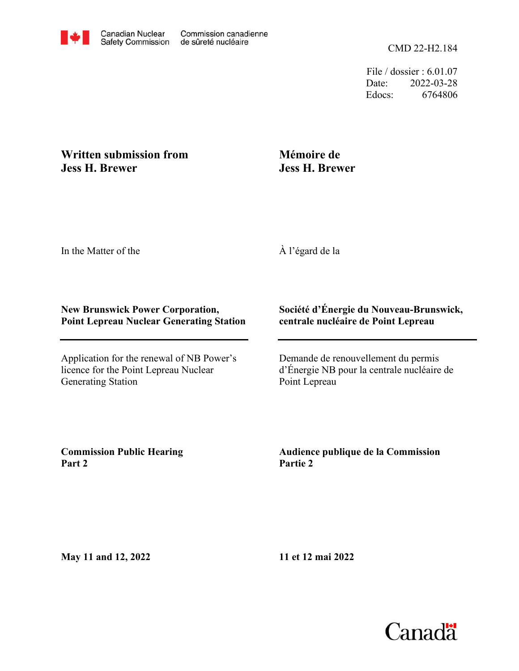File / dossier : 6.01.07 Date: 2022-03-28 Edocs: 6764806

## **Written submission from Jess H. Brewer**

# **Mémoire de Jess H. Brewer**

In the Matter of the

À l'égard de la

#### **New Brunswick Power Corporation, Point Lepreau Nuclear Generating Station**

Application for the renewal of NB Power's licence for the Point Lepreau Nuclear Generating Station

## **Société d'Énergie du Nouveau-Brunswick, centrale nucléaire de Point Lepreau**

Demande de renouvellement du permis d'Énergie NB pour la centrale nucléaire de Point Lepreau

**Commission Public Hearing Part 2**

**Audience publique de la Commission Partie 2**

**May 11 and 12, 2022**

**11 et 12 mai 2022**